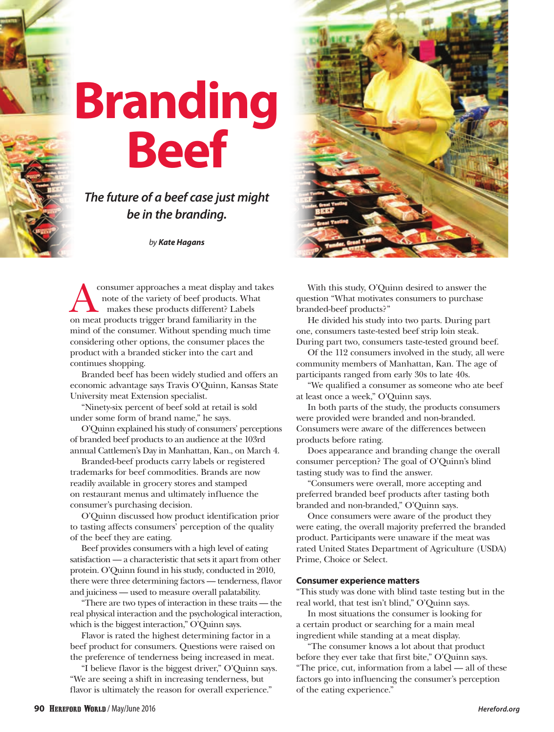

## **Branding Beef**

## *The future of a beef case just might be in the branding.*

*by Kate Hagans*

consumer approaches a meat display and takes note of the variety of beef products. What makes these products different? Labels on meat products trigger brand familiarity in the mind of the consumer. Without spending much time considering other options, the consumer places the product with a branded sticker into the cart and continues shopping.

Branded beef has been widely studied and offers an economic advantage says Travis O'Quinn, Kansas State University meat Extension specialist.

"Ninety-six percent of beef sold at retail is sold under some form of brand name," he says.

O'Quinn explained his study of consumers' perceptions of branded beef products to an audience at the 103rd annual Cattlemen's Day in Manhattan, Kan., on March 4.

Branded-beef products carry labels or registered trademarks for beef commodities. Brands are now readily available in grocery stores and stamped on restaurant menus and ultimately influence the consumer's purchasing decision.

O'Quinn discussed how product identification prior to tasting affects consumers' perception of the quality of the beef they are eating.

Beef provides consumers with a high level of eating satisfaction — a characteristic that sets it apart from other protein. O'Quinn found in his study, conducted in 2010, there were three determining factors — tenderness, flavor and juiciness — used to measure overall palatability.

"There are two types of interaction in these traits — the real physical interaction and the psychological interaction, which is the biggest interaction," O'Quinn says.

Flavor is rated the highest determining factor in a beef product for consumers. Questions were raised on the preference of tenderness being increased in meat.

"I believe flavor is the biggest driver," O'Quinn says. "We are seeing a shift in increasing tenderness, but flavor is ultimately the reason for overall experience."



With this study, O'Quinn desired to answer the question "What motivates consumers to purchase branded-beef products?"

He divided his study into two parts. During part one, consumers taste-tested beef strip loin steak. During part two, consumers taste-tested ground beef.

Of the 112 consumers involved in the study, all were community members of Manhattan, Kan. The age of participants ranged from early 30s to late 40s.

"We qualified a consumer as someone who ate beef at least once a week," O'Quinn says.

In both parts of the study, the products consumers were provided were branded and non-branded. Consumers were aware of the differences between products before rating.

Does appearance and branding change the overall consumer perception? The goal of O'Quinn's blind tasting study was to find the answer.

"Consumers were overall, more accepting and preferred branded beef products after tasting both branded and non-branded," O'Quinn says.

Once consumers were aware of the product they were eating, the overall majority preferred the branded product. Participants were unaware if the meat was rated United States Department of Agriculture (USDA) Prime, Choice or Select.

## **Consumer experience matters**

"This study was done with blind taste testing but in the real world, that test isn't blind," O'Quinn says.

In most situations the consumer is looking for a certain product or searching for a main meal ingredient while standing at a meat display.

"The consumer knows a lot about that product before they ever take that first bite," O'Quinn says. "The price, cut, information from a label — all of these factors go into influencing the consumer's perception of the eating experience."